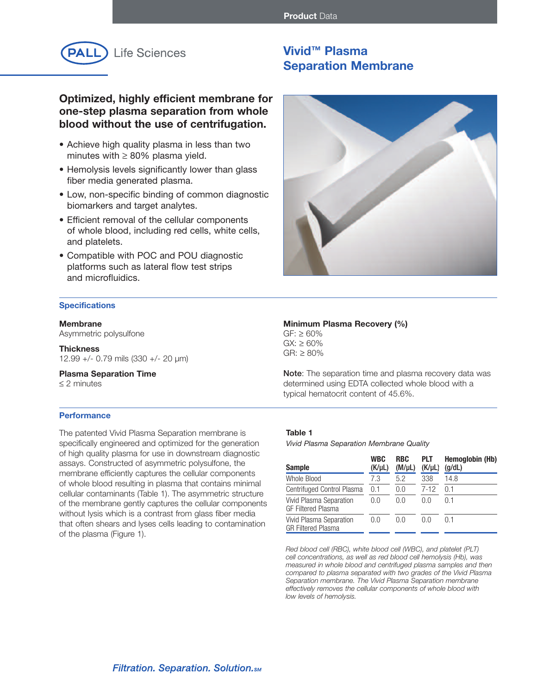

**Optimized, highly efficient membrane for one-step plasma separation from whole blood without the use of centrifugation.**

- Achieve high quality plasma in less than two minutes with  $\geq 80\%$  plasma yield.
- Hemolysis levels significantly lower than glass fiber media generated plasma.
- Low, non-specific binding of common diagnostic biomarkers and target analytes.
- Efficient removal of the cellular components of whole blood, including red cells, white cells, and platelets.
- Compatible with POC and POU diagnostic platforms such as lateral flow test strips and microfluidics.

### **Specifications**

#### **Membrane**

Asymmetric polysulfone

**Thickness** 12.99 +/- 0.79 mils (330 +/- 20 µm)

#### **Plasma Separation Time** ≤ 2 minutes

#### **Performance**

The patented Vivid Plasma Separation membrane is specifically engineered and optimized for the generation of high quality plasma for use in downstream diagnostic assays. Constructed of asymmetric polysulfone, the membrane efficiently captures the cellular components of whole blood resulting in plasma that contains minimal cellular contaminants (Table 1). The asymmetric structure of the membrane gently captures the cellular components without lysis which is a contrast from glass fiber media that often shears and lyses cells leading to contamination of the plasma (Figure 1).

# **Vivid™ Plasma Separation Membrane**



# **Minimum Plasma Recovery (%)**  $GF:  $\geq 60\%$$

 $GX:  $\geq 60\%$$ GR: ≥ 80%

Note: The separation time and plasma recovery data was determined using EDTA collected whole blood with a typical hematocrit content of 45.6%.

## **Table 1**

*Vivid Plasma Separation Membrane Quality*

| <b>Sample</b>                                        | <b>WBC</b><br>$(K/\mu L)$ | <b>RBC</b><br>$(M/\mu L)$ | PLT<br>$(K/\mu L)$ | Hemoglobin (Hb)<br>(g/dL) |
|------------------------------------------------------|---------------------------|---------------------------|--------------------|---------------------------|
| Whole Blood                                          | 7.3                       | 5.2                       | 338                | 14.8                      |
| Centrifuged Control Plasma                           | 0.1                       | 0.0                       | $7-12$             | 0 <sub>1</sub>            |
| Vivid Plasma Separation<br><b>GF Filtered Plasma</b> | 0.0                       | 0.0                       | 0.0                | 0 1                       |
| Vivid Plasma Separation<br><b>GR Filtered Plasma</b> | 0.0                       | 0.0                       | 0.0                | በ 1                       |

*Red blood cell (RBC), white blood cell (WBC), and platelet (PLT) cell concentrations, as well as red blood cell hemolysis (Hb), was measured in whole blood and centrifuged plasma samples and then compared to plasma separated with two grades of the Vivid Plasma Separation membrane. The Vivid Plasma Separation membrane effectively removes the cellular components of whole blood with low levels of hemolysis.*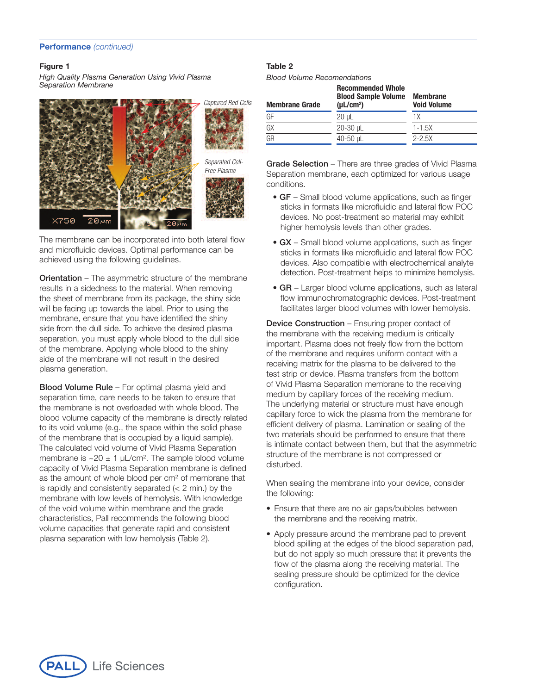#### **Figure 1**

*High Quality Plasma Generation Using Vivid Plasma Separation Membrane*



The membrane can be incorporated into both lateral flow and microfluidic devices. Optimal performance can be achieved using the following guidelines.

**Orientation** – The asymmetric structure of the membrane results in a sidedness to the material. When removing the sheet of membrane from its package, the shiny side will be facing up towards the label. Prior to using the membrane, ensure that you have identified the shiny side from the dull side. To achieve the desired plasma separation, you must apply whole blood to the dull side of the membrane. Applying whole blood to the shiny side of the membrane will not result in the desired plasma generation.

**Blood Volume Rule** – For optimal plasma yield and separation time, care needs to be taken to ensure that the membrane is not overloaded with whole blood. The blood volume capacity of the membrane is directly related to its void volume (e.g., the space within the solid phase of the membrane that is occupied by a liquid sample). The calculated void volume of Vivid Plasma Separation membrane is  $\sim$ 20  $\pm$  1 µL/cm<sup>2</sup>. The sample blood volume capacity of Vivid Plasma Separation membrane is defined as the amount of whole blood per cm<sup>2</sup> of membrane that is rapidly and consistently separated  $(< 2$  min.) by the membrane with low levels of hemolysis. With knowledge of the void volume within membrane and the grade characteristics, Pall recommends the following blood volume capacities that generate rapid and consistent plasma separation with low hemolysis (Table 2).

## **Table 2**

*Blood Volume Recomendations*

| <b>Membrane Grade</b> | <b>Recommended Whole</b><br><b>Blood Sample Volume</b><br>$(\mu L/cm^2)$ | <b>Membrane</b><br><b>Void Volume</b> |
|-----------------------|--------------------------------------------------------------------------|---------------------------------------|
| GF                    | $20 \mu L$                                                               | 1Х                                    |
| GX                    | $20-30$ µL                                                               | $1 - 1.5X$                            |
| GΒ                    | 40-50 uL                                                                 | $2 - 2.5X$                            |

Grade Selection – There are three grades of Vivid Plasma Separation membrane, each optimized for various usage conditions.

- GF Small blood volume applications, such as finger sticks in formats like microfluidic and lateral flow POC devices. No post-treatment so material may exhibit higher hemolysis levels than other grades.
- GX Small blood volume applications, such as finger sticks in formats like microfluidic and lateral flow POC devices. Also compatible with electrochemical analyte detection. Post-treatment helps to minimize hemolysis.
- GR Larger blood volume applications, such as lateral flow immunochromatographic devices. Post-treatment facilitates larger blood volumes with lower hemolysis.

**Device Construction** – Ensuring proper contact of the membrane with the receiving medium is critically important. Plasma does not freely flow from the bottom of the membrane and requires uniform contact with a receiving matrix for the plasma to be delivered to the test strip or device. Plasma transfers from the bottom of Vivid Plasma Separation membrane to the receiving medium by capillary forces of the receiving medium. The underlying material or structure must have enough capillary force to wick the plasma from the membrane for efficient delivery of plasma. Lamination or sealing of the two materials should be performed to ensure that there is intimate contact between them, but that the asymmetric structure of the membrane is not compressed or disturbed.

When sealing the membrane into your device, consider the following:

- Ensure that there are no air gaps/bubbles between the membrane and the receiving matrix.
- Apply pressure around the membrane pad to prevent blood spilling at the edges of the blood separation pad, but do not apply so much pressure that it prevents the flow of the plasma along the receiving material. The sealing pressure should be optimized for the device configuration.

**Life Sciences**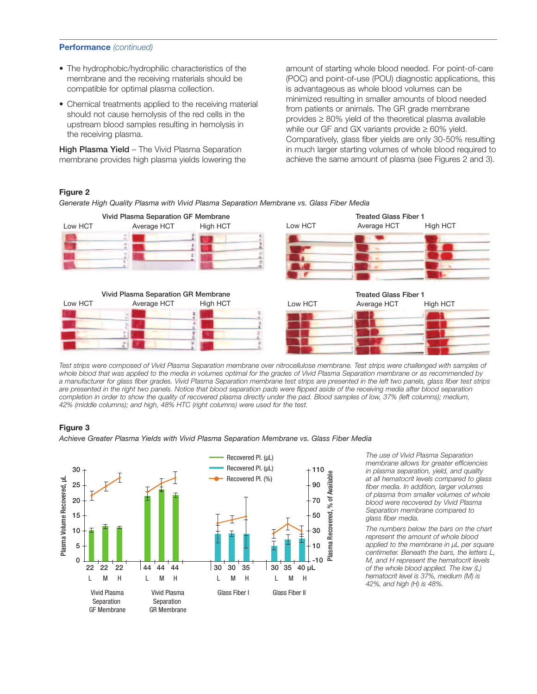- The hydrophobic/hydrophilic characteristics of the membrane and the receiving materials should be compatible for optimal plasma collection.
- Chemical treatments applied to the receiving material should not cause hemolysis of the red cells in the upstream blood samples resulting in hemolysis in the receiving plasma.

High Plasma Yield - The Vivid Plasma Separation membrane provides high plasma yields lowering the

amount of starting whole blood needed. For point-of-care (POC) and point-of-use (POU) diagnostic applications, this is advantageous as whole blood volumes can be minimized resulting in smaller amounts of blood needed from patients or animals. The GR grade membrane  $p$ rovides  $\geq$  80% yield of the theoretical plasma available while our GF and GX variants provide  $\geq 60\%$  yield. Comparatively, glass fiber yields are only 30-50% resulting in much larger starting volumes of whole blood required to achieve the same amount of plasma (see Figures 2 and 3).

# **Figure 2**

*Generate High Quality Plasma with Vivid Plasma Separation Membrane vs. Glass Fiber Media*



Test strips were composed of Vivid Plasma Separation membrane over nitrocellulose membrane. Test strips were challenged with samples of whole blood that was applied to the media in volumes optimal for the grades of Vivid Plasma Separation membrane or as recommended by a manufacturer for glass fiber grades. Vivid Plasma Separation membrane test strips are presented in the left two panels, glass fiber test strips are presented in the right two panels. Notice that blood separation pads were flipped aside of the receiving media after blood separation completion in order to show the quality of recovered plasma directly under the pad. Blood samples of low, 37% (left columns); medium, *42% (middle columns); and high, 48% HTC (right columns) were used for the test.*

## **Figure 3**

*Achieve Greater Plasma Yields with Vivid Plasma Separation Membrane vs. Glass Fiber Media*



*The use of Vivid Plasma Separation membrane allows for greater efficiencies in plasma separation, yield, and quality at all hematocrit levels compared to glass fiber media. In addition, larger volumes of plasma from smaller volumes of whole blood were recovered by Vivid Plasma Separation membrane compared to glass fiber media.*

*The numbers below the bars on the chart represent the amount of whole blood applied to the membrane in µL per square centimeter. Beneath the bars, the letters L, M, and H represent the hematocrit levels of the whole blood applied. The low (L) hematocrit level is 37%, medium (M) is 42%, and high (H) is 48%.*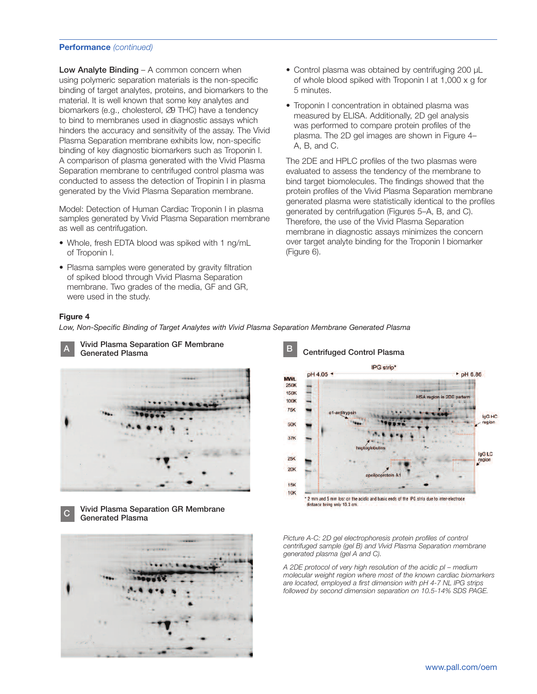Low Analyte Binding – A common concern when using polymeric separation materials is the non-specific binding of target analytes, proteins, and biomarkers to the material. It is well known that some key analytes and biomarkers (e.g., cholesterol, ∅9 THC) have a tendency to bind to membranes used in diagnostic assays which hinders the accuracy and sensitivity of the assay. The Vivid Plasma Separation membrane exhibits low, non-specific binding of key diagnostic biomarkers such as Troponin I. A comparison of plasma generated with the Vivid Plasma Separation membrane to centrifuged control plasma was conducted to assess the detection of Tropinin I in plasma generated by the Vivid Plasma Separation membrane.

Model: Detection of Human Cardiac Troponin I in plasma samples generated by Vivid Plasma Separation membrane as well as centrifugation.

- Whole, fresh EDTA blood was spiked with 1 ng/mL of Troponin I.
- Plasma samples were generated by gravity filtration of spiked blood through Vivid Plasma Separation membrane. Two grades of the media, GF and GR, were used in the study.
- Control plasma was obtained by centrifuging 200 µL of whole blood spiked with Troponin I at 1,000 x g for 5 minutes.
- Troponin I concentration in obtained plasma was measured by ELISA. Additionally, 2D gel analysis was performed to compare protein profiles of the plasma. The 2D gel images are shown in Figure 4– A, B, and C.

The 2DE and HPLC profiles of the two plasmas were evaluated to assess the tendency of the membrane to bind target biomolecules. The findings showed that the protein profiles of the Vivid Plasma Separation membrane generated plasma were statistically identical to the profiles generated by centrifugation (Figures 5–A, B, and C). Therefore, the use of the Vivid Plasma Separation membrane in diagnostic assays minimizes the concern over target analyte binding for the Troponin I biomarker (Figure 6).

#### **Figure 4**

*Low, Non-Specific Binding of Target Analytes with Vivid Plasma Separation Membrane Generated Plasma*



Vivid Plasma Separation GF Membrane Generated Plasma<br>Generated Plasma









*Picture A-C: 2D gel electrophoresis protein profiles of control centrifuged sample (gel B) and Vivid Plasma Separation membrane generated plasma (gel A and C).*

*A 2DE protocol of very high resolution of the acidic pI – medium molecular weight region where most of the known cardiac biomarkers are located, employed a first dimension with pH 4-7 NL IPG strips followed by second dimension separation on 10.5-14% SDS PAGE.*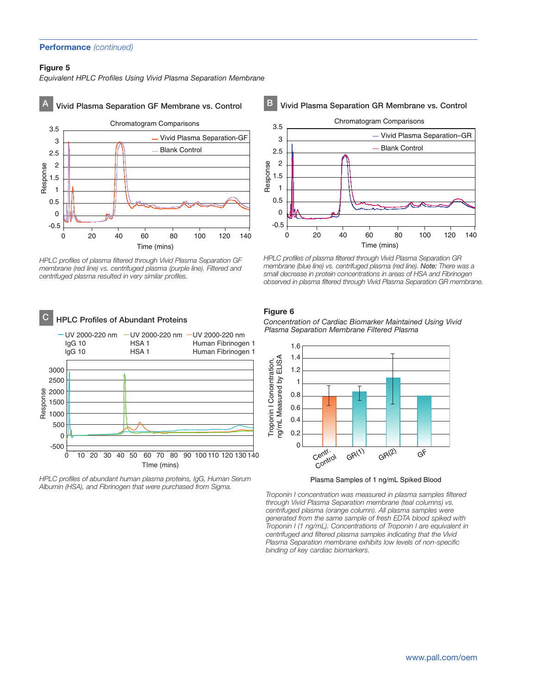## **Figure 5**

*Equivalent HPLC Profiles Using Vivid Plasma Separation Membrane*



*HPLC profiles of plasma filtered through Vivid Plasma Separation GF membrane (red line) vs. centrifuged plasma (purple line). Filtered and centrifuged plasma resulted in very similar profiles.*



*HPLC profiles of abundant human plasma proteins, IgG, Human Serum Albumin (HSA), and Fibrinogen that were purchased from Sigma.*

# Vivid Plasma Separation GR Membrane vs. Control



*HPLC profiles of plasma filtered through Vivid Plasma Separation GR membrane (blue line) vs. centrifuged plasma (red line). Note: There was a small decrease in protein concentrations in areas of HSA and Fibrinogen observed in plasma filtered through Vivid Plasma Separation GR membrane.*

#### **Figure 6**

*Concentration of Cardiac Biomarker Maintained Using Vivid Plasma Separation Membrane Filtered Plasma*



Plasma Samples of 1 ng/mL Spiked Blood

*Troponin I concentration was measured in plasma samples filtered through Vivid Plasma Separation membrane (teal columns) vs. centrifuged plasma (orange column). All plasma samples were generated from the same sample of fresh EDTA blood spiked with Troponin I (1 ng/mL). Concentrations of Troponin I are equivalent in centrifuged and filtered plasma samples indicating that the Vivid Plasma Separation membrane exhibits low levels of non-specific binding of key cardiac biomarkers.*